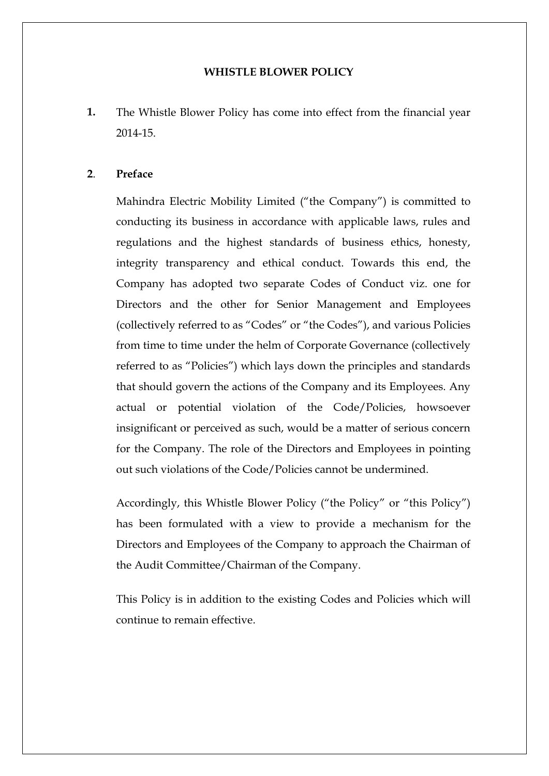# **WHISTLE BLOWER POLICY**

**1.** The Whistle Blower Policy has come into effect from the financial year 2014-15.

### **2**. **Preface**

Mahindra Electric Mobility Limited ("the Company") is committed to conducting its business in accordance with applicable laws, rules and regulations and the highest standards of business ethics, honesty, integrity transparency and ethical conduct. Towards this end, the Company has adopted two separate Codes of Conduct viz. one for Directors and the other for Senior Management and Employees (collectively referred to as "Codes" or "the Codes"), and various Policies from time to time under the helm of Corporate Governance (collectively referred to as "Policies") which lays down the principles and standards that should govern the actions of the Company and its Employees. Any actual or potential violation of the Code/Policies, howsoever insignificant or perceived as such, would be a matter of serious concern for the Company. The role of the Directors and Employees in pointing out such violations of the Code/Policies cannot be undermined.

Accordingly, this Whistle Blower Policy ("the Policy" or "this Policy") has been formulated with a view to provide a mechanism for the Directors and Employees of the Company to approach the Chairman of the Audit Committee/Chairman of the Company.

This Policy is in addition to the existing Codes and Policies which will continue to remain effective.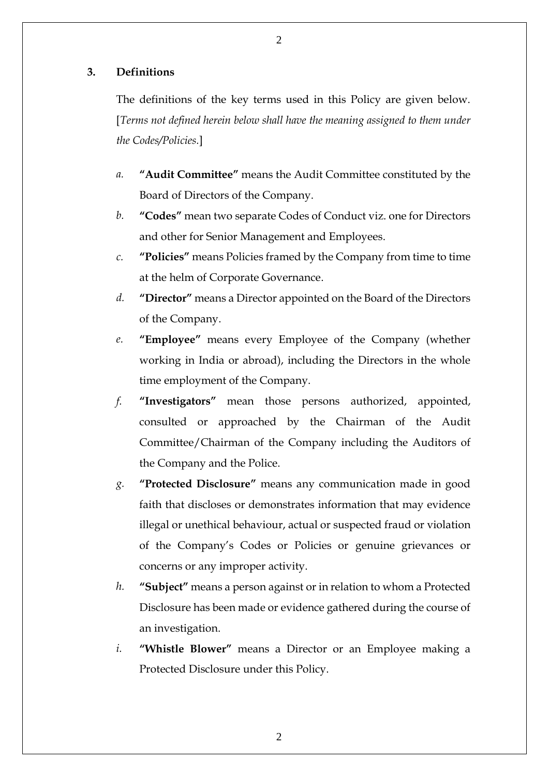### **3. Definitions**

The definitions of the key terms used in this Policy are given below. [*Terms not defined herein below shall have the meaning assigned to them under the Codes/Policies.*]

- *a.* **"Audit Committee"** means the Audit Committee constituted by the Board of Directors of the Company.
- *b.* **"Codes"** mean two separate Codes of Conduct viz. one for Directors and other for Senior Management and Employees.
- *c.* **"Policies"** means Policies framed by the Company from time to time at the helm of Corporate Governance.
- *d.* **"Director"** means a Director appointed on the Board of the Directors of the Company.
- *e.* **"Employee"** means every Employee of the Company (whether working in India or abroad), including the Directors in the whole time employment of the Company.
- *f.* **"Investigators"** mean those persons authorized, appointed, consulted or approached by the Chairman of the Audit Committee/Chairman of the Company including the Auditors of the Company and the Police.
- *g.* **"Protected Disclosure"** means any communication made in good faith that discloses or demonstrates information that may evidence illegal or unethical behaviour, actual or suspected fraud or violation of the Company's Codes or Policies or genuine grievances or concerns or any improper activity.
- *h.* **"Subject"** means a person against or in relation to whom a Protected Disclosure has been made or evidence gathered during the course of an investigation.
- *i.* **"Whistle Blower"** means a Director or an Employee making a Protected Disclosure under this Policy.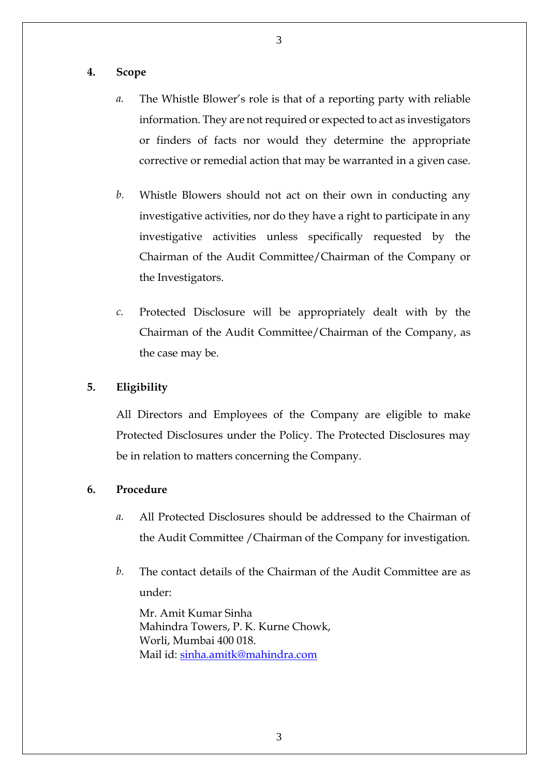#### 3

#### **4. Scope**

- *a.* The Whistle Blower's role is that of a reporting party with reliable information. They are not required or expected to act as investigators or finders of facts nor would they determine the appropriate corrective or remedial action that may be warranted in a given case.
- *b.* Whistle Blowers should not act on their own in conducting any investigative activities, nor do they have a right to participate in any investigative activities unless specifically requested by the Chairman of the Audit Committee/Chairman of the Company or the Investigators.
- *c.* Protected Disclosure will be appropriately dealt with by the Chairman of the Audit Committee/Chairman of the Company, as the case may be.

#### **5. Eligibility**

All Directors and Employees of the Company are eligible to make Protected Disclosures under the Policy. The Protected Disclosures may be in relation to matters concerning the Company.

# **6. Procedure**

- *a.* All Protected Disclosures should be addressed to the Chairman of the Audit Committee /Chairman of the Company for investigation.
- *b.* The contact details of the Chairman of the Audit Committee are as under:

Mr. Amit Kumar Sinha Mahindra Towers, P. K. Kurne Chowk, Worli, Mumbai 400 018. Mail id: [sinha.amitk@mahindra.com](mailto:sinha.amitk@mahindra.com)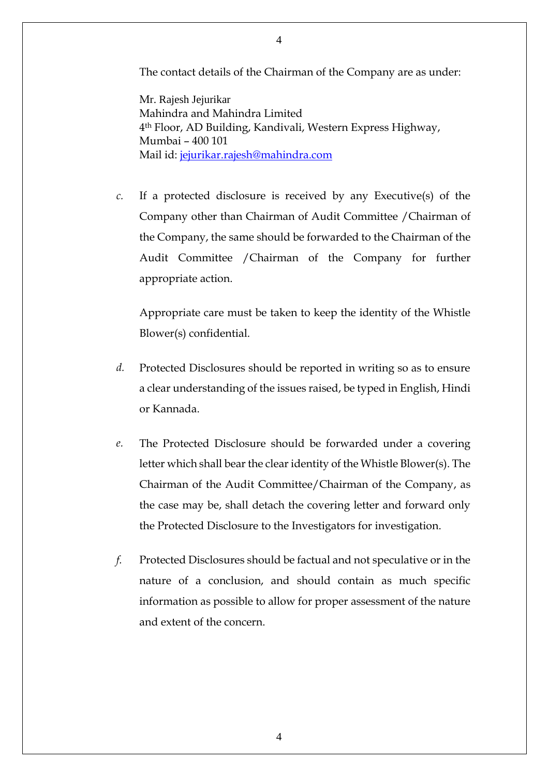The contact details of the Chairman of the Company are as under:

Mr. Rajesh Jejurikar Mahindra and Mahindra Limited 4th Floor, AD Building, Kandivali, Western Express Highway, Mumbai – 400 101 Mail id: [jejurikar.rajesh@mahindra.com](mailto:jejurikar.rajesh@mahindra.com)

*c.* If a protected disclosure is received by any Executive(s) of the Company other than Chairman of Audit Committee /Chairman of the Company, the same should be forwarded to the Chairman of the Audit Committee /Chairman of the Company for further appropriate action.

Appropriate care must be taken to keep the identity of the Whistle Blower(s) confidential.

- *d.* Protected Disclosures should be reported in writing so as to ensure a clear understanding of the issues raised, be typed in English, Hindi or Kannada.
- *e.* The Protected Disclosure should be forwarded under a covering letter which shall bear the clear identity of the Whistle Blower(s). The Chairman of the Audit Committee/Chairman of the Company, as the case may be, shall detach the covering letter and forward only the Protected Disclosure to the Investigators for investigation.
- *f.* Protected Disclosures should be factual and not speculative or in the nature of a conclusion, and should contain as much specific information as possible to allow for proper assessment of the nature and extent of the concern.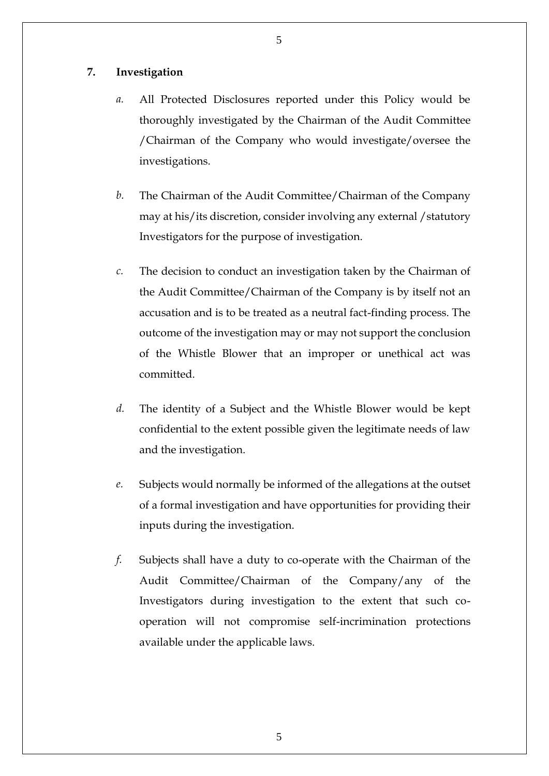# **7. Investigation**

- *a.* All Protected Disclosures reported under this Policy would be thoroughly investigated by the Chairman of the Audit Committee /Chairman of the Company who would investigate/oversee the investigations.
- *b.* The Chairman of the Audit Committee/Chairman of the Company may at his/its discretion, consider involving any external /statutory Investigators for the purpose of investigation.
- *c.* The decision to conduct an investigation taken by the Chairman of the Audit Committee/Chairman of the Company is by itself not an accusation and is to be treated as a neutral fact-finding process. The outcome of the investigation may or may not support the conclusion of the Whistle Blower that an improper or unethical act was committed.
- *d.* The identity of a Subject and the Whistle Blower would be kept confidential to the extent possible given the legitimate needs of law and the investigation.
- *e.* Subjects would normally be informed of the allegations at the outset of a formal investigation and have opportunities for providing their inputs during the investigation.
- *f.* Subjects shall have a duty to co-operate with the Chairman of the Audit Committee/Chairman of the Company/any of the Investigators during investigation to the extent that such cooperation will not compromise self-incrimination protections available under the applicable laws.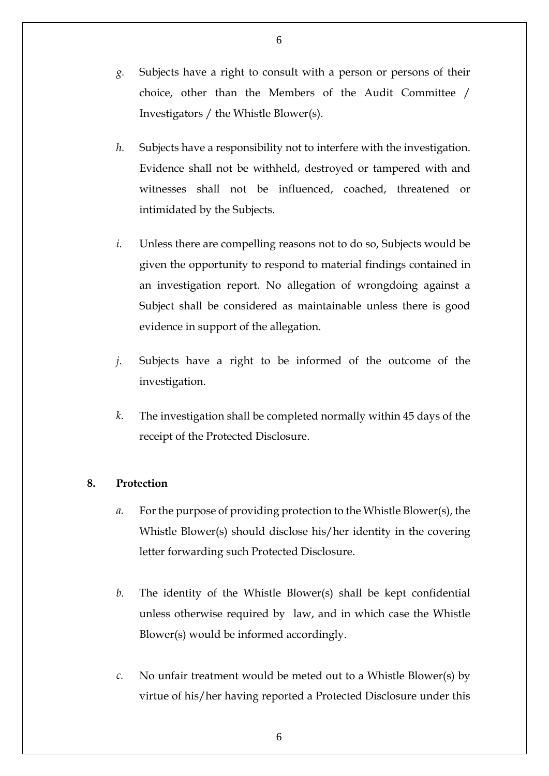- *g.* Subjects have a right to consult with a person or persons of their choice, other than the Members of the Audit Committee / Investigators / the Whistle Blower(s).
- *h.* Subjects have a responsibility not to interfere with the investigation. Evidence shall not be withheld, destroyed or tampered with and witnesses shall not be influenced, coached, threatened or intimidated by the Subjects.
- *i.* Unless there are compelling reasons not to do so, Subjects would be given the opportunity to respond to material findings contained in an investigation report. No allegation of wrongdoing against a Subject shall be considered as maintainable unless there is good evidence in support of the allegation.
- *j.* Subjects have a right to be informed of the outcome of the investigation.
- *k.* The investigation shall be completed normally within 45 days of the receipt of the Protected Disclosure.

# **8. Protection**

- *a.* For the purpose of providing protection to the Whistle Blower(s), the Whistle Blower(s) should disclose his/her identity in the covering letter forwarding such Protected Disclosure.
- *b.* The identity of the Whistle Blower(s) shall be kept confidential unless otherwise required by law, and in which case the Whistle Blower(s) would be informed accordingly.
- *c.* No unfair treatment would be meted out to a Whistle Blower(s) by virtue of his/her having reported a Protected Disclosure under this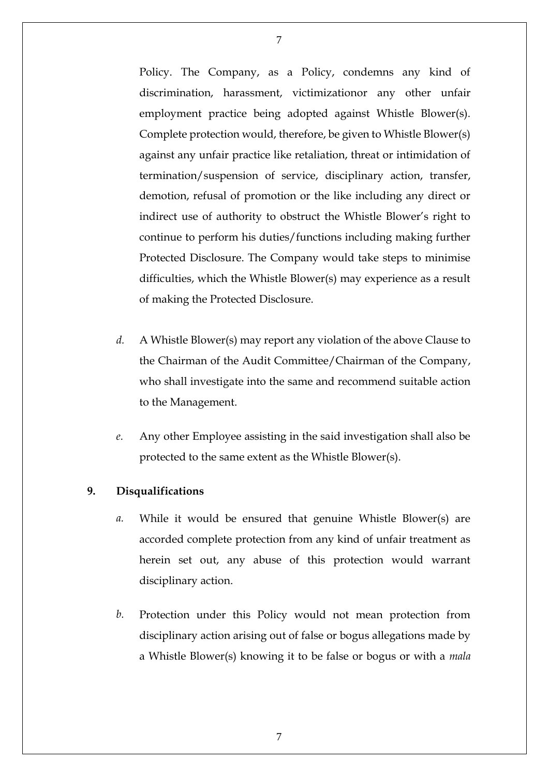Policy. The Company, as a Policy, condemns any kind of discrimination, harassment, victimizationor any other unfair employment practice being adopted against Whistle Blower(s). Complete protection would, therefore, be given to Whistle Blower(s) against any unfair practice like retaliation, threat or intimidation of termination/suspension of service, disciplinary action, transfer, demotion, refusal of promotion or the like including any direct or indirect use of authority to obstruct the Whistle Blower's right to continue to perform his duties/functions including making further Protected Disclosure. The Company would take steps to minimise difficulties, which the Whistle Blower(s) may experience as a result of making the Protected Disclosure.

- *d.* A Whistle Blower(s) may report any violation of the above Clause to the Chairman of the Audit Committee/Chairman of the Company, who shall investigate into the same and recommend suitable action to the Management.
- *e.* Any other Employee assisting in the said investigation shall also be protected to the same extent as the Whistle Blower(s).

# **9. Disqualifications**

- *a.* While it would be ensured that genuine Whistle Blower(s) are accorded complete protection from any kind of unfair treatment as herein set out, any abuse of this protection would warrant disciplinary action.
- *b.* Protection under this Policy would not mean protection from disciplinary action arising out of false or bogus allegations made by a Whistle Blower(s) knowing it to be false or bogus or with a *mala*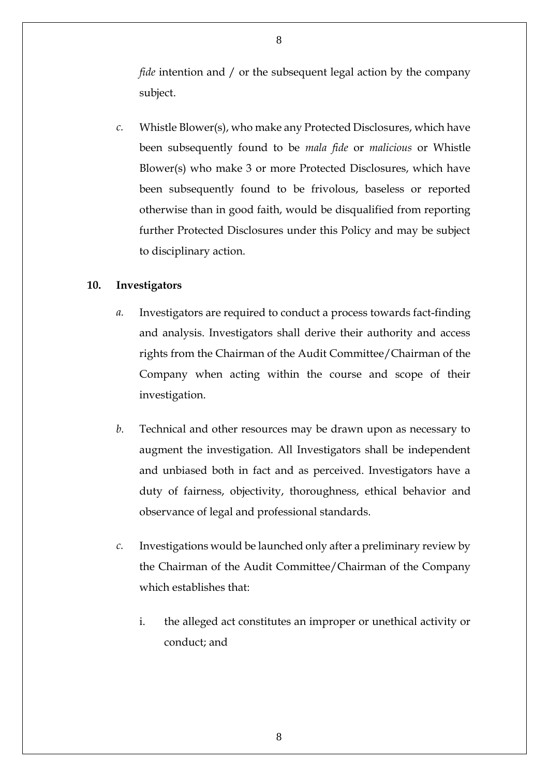*fide* intention and / or the subsequent legal action by the company subject.

*c.* Whistle Blower(s), who make any Protected Disclosures, which have been subsequently found to be *mala fide* or *malicious* or Whistle Blower(s) who make 3 or more Protected Disclosures, which have been subsequently found to be frivolous, baseless or reported otherwise than in good faith, would be disqualified from reporting further Protected Disclosures under this Policy and may be subject to disciplinary action.

# **10. Investigators**

- *a.* Investigators are required to conduct a process towards fact-finding and analysis. Investigators shall derive their authority and access rights from the Chairman of the Audit Committee/Chairman of the Company when acting within the course and scope of their investigation.
- *b.* Technical and other resources may be drawn upon as necessary to augment the investigation. All Investigators shall be independent and unbiased both in fact and as perceived. Investigators have a duty of fairness, objectivity, thoroughness, ethical behavior and observance of legal and professional standards.
- *c.* Investigations would be launched only after a preliminary review by the Chairman of the Audit Committee/Chairman of the Company which establishes that:
	- i. the alleged act constitutes an improper or unethical activity or conduct; and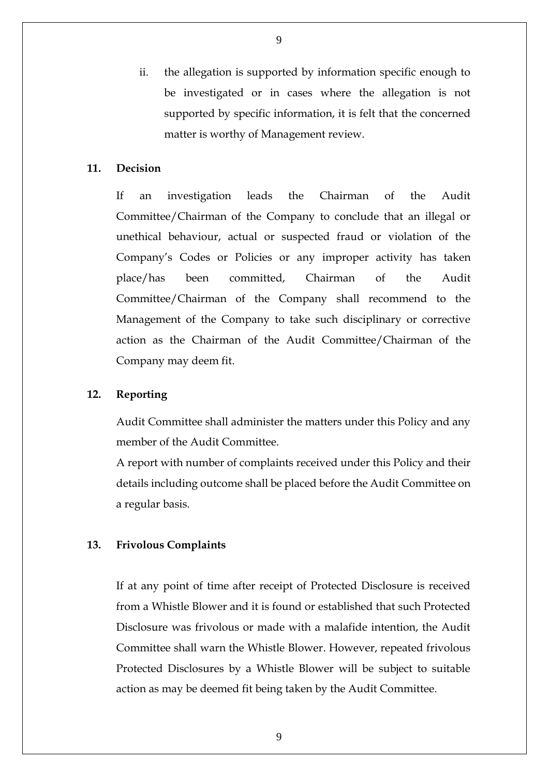ii. the allegation is supported by information specific enough to be investigated or in cases where the allegation is not supported by specific information, it is felt that the concerned matter is worthy of Management review.

### **11. Decision**

If an investigation leads the Chairman of the Audit Committee/Chairman of the Company to conclude that an illegal or unethical behaviour, actual or suspected fraud or violation of the Company's Codes or Policies or any improper activity has taken place/has been committed, Chairman of the Audit Committee/Chairman of the Company shall recommend to the Management of the Company to take such disciplinary or corrective action as the Chairman of the Audit Committee/Chairman of the Company may deem fit.

### **12. Reporting**

Audit Committee shall administer the matters under this Policy and any member of the Audit Committee.

A report with number of complaints received under this Policy and their details including outcome shall be placed before the Audit Committee on a regular basis.

#### **13. Frivolous Complaints**

If at any point of time after receipt of Protected Disclosure is received from a Whistle Blower and it is found or established that such Protected Disclosure was frivolous or made with a malafide intention, the Audit Committee shall warn the Whistle Blower. However, repeated frivolous Protected Disclosures by a Whistle Blower will be subject to suitable action as may be deemed fit being taken by the Audit Committee.